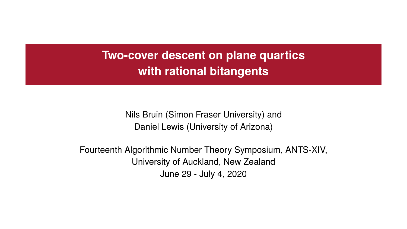**Two-cover descent on plane quartics with rational bitangents**

> Nils Bruin (Simon Fraser University) and Daniel Lewis (University of Arizona)

Fourteenth Algorithmic Number Theory Symposium, ANTS-XIV, University of Auckland, New Zealand June 29 - July 4, 2020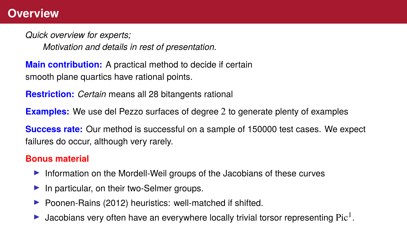#### **Overview**

*Quick overview for experts;*

*Motivation and details in rest of presentation.*

**Main contribution:** A practical method to decide if certain smooth plane quartics have rational points.

**Restriction:** *Certain* means all 28 bitangents rational

**Examples:** We use del Pezzo surfaces of degree 2 to generate plenty of examples

**Success rate:** Our method is successful on a sample of 150000 test cases. We expect failures do occur, although very rarely.

#### **Bonus material**

- Information on the Mordell-Weil groups of the Jacobians of these curves
- $\blacktriangleright$  In particular, on their two-Selmer groups.
- Poonen-Rains (2012) heuristics: well-matched if shifted.
- $\blacktriangleright$  Jacobians very often have an everywhere locally trivial torsor representing Pic<sup>1</sup>.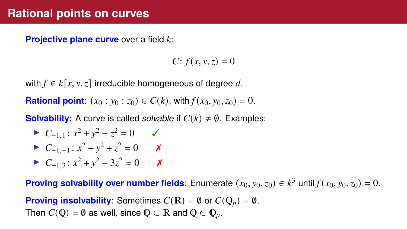## **Rational points on curves**

**Projective plane curve** over a field *k*:

 $C: f(x, y, z) = 0$ 

with  $f \in k[x, y, z]$  irreducible homogeneous of degree d.

**Rational point:**  $(x_0 : y_0 : z_0) \in C(k)$ , with  $f(x_0, y_0, z_0) = 0$ .

**Solvability:** A curve is called *solvable* if  $C(k) \neq \emptyset$ . Examples:

$$
C_{-1,1}: x^2 + y^2 - z^2 = 0 \qquad \checkmark
$$

$$
C_{-1,-1}: x^2 + y^2 + z^2 = 0 \qquad x
$$

<sup>I</sup> *<sup>C</sup>*−1,<sup>3</sup> : *<sup>x</sup>* <sup>2</sup> + *y* <sup>2</sup> − 3*z* <sup>2</sup> = 0 ✗

**Proving solvability over number fields**: Enumerate  $(x_0, y_0, z_0) \in k^3$  until  $f(x_0, y_0, z_0) = 0$ .

**Proving insolvability:** Sometimes  $C(\mathbb{R}) = \emptyset$  or  $C(\mathbb{Q}_p) = \emptyset$ . Then  $C(\mathbb{Q}) = \emptyset$  as well, since  $\mathbb{Q} \subset \mathbb{R}$  and  $\mathbb{Q} \subset \mathbb{Q}_p$ .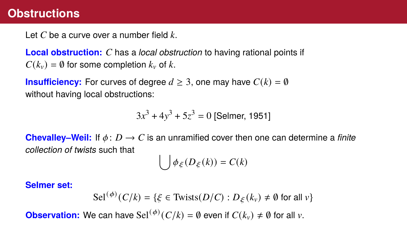#### **Obstructions**

Let *C* be a curve over a number field *k*.

**Local obstruction:** *C* has a *local obstruction* to having rational points if  $C(k_v) = \emptyset$  for some completion  $k_v$  of  $k$ .

**Insufficiency:** For curves of degree  $d \geq 3$ , one may have  $C(k) = \emptyset$ without having local obstructions:

 $3x^3 + 4y^3 + 5z^3 = 0$  [Selmer, 1951]

**Chevalley–Weil:** If  $\phi: D \to C$  is an unramified cover then one can determine a *finite collection of twists* such that

$$
\bigcup \phi_{\xi}(D_{\xi}(k)) = C(k)
$$

#### **Selmer set:**

$$
\operatorname{Sel}^{(\phi)}(C/k) = \{ \xi \in \text{Twists}(D/C) : D_{\xi}(k_v) \neq \emptyset \text{ for all } v \}
$$

**Observation:** We can have Sel<sup>( $\phi$ )</sup>( $C/k$ ) =  $\emptyset$  even if  $C(k_v) \neq \emptyset$  for all  $v$ .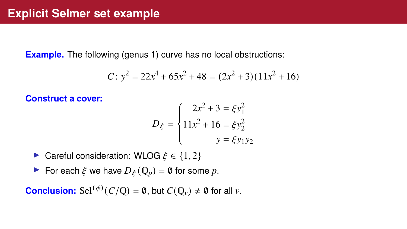**Example.** The following (genus 1) curve has no local obstructions:

$$
C: y^2 = 22x^4 + 65x^2 + 48 = (2x^2 + 3)(11x^2 + 16)
$$

**Construct a cover:**

$$
D_{\xi} = \begin{cases} 2x^2 + 3 = \xi y_1^2 \\ 11x^2 + 16 = \xi y_2^2 \\ y = \xi y_1 y_2 \end{cases}
$$

► Careful consideration: WLOG  $\xi \in \{1,2\}$ 

For each  $\xi$  we have  $D_{\xi}(\mathbb{Q}_p) = \emptyset$  for some p.

**Conclusion:** Sel<sup>( $\phi$ )</sup>( $C/Q$ ) =  $\emptyset$ , but  $C(Q_v) \neq \emptyset$  for all  $v$ .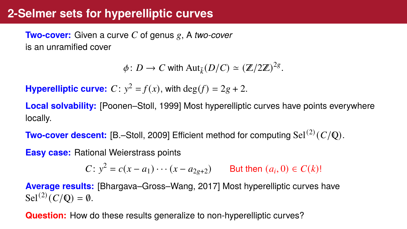## **2-Selmer sets for hyperelliptic curves**

**Two-cover:** Given a curve *C* of genus *g*, A *two-cover* is an unramified cover

 $\phi: D \to C$  with  $\text{Aut}_{\bar{k}}(D/C) \simeq (\mathbb{Z}/2\mathbb{Z})^{2g}.$ 

**Hyperelliptic curve:**  $C: y^2 = f(x)$ , with  $\deg(f) = 2g + 2$ .

**Local solvability:** [Poonen–Stoll, 1999] Most hyperelliptic curves have points everywhere locally.

**Two-cover descent:** [B.–Stoll, 2009] Efficient method for computing Sel(2) (*C*/ℚ).

**Easy case:** Rational Weierstrass points

*C*: *y*<sup>2</sup> = *c*(*x* − *a*<sub>1</sub>) · · · (*x* − *a*<sub>2*g*+2</sub>) But then (*a*<sub>*i*</sub>, 0) ∈ *C*(*k*)!

**Average results:** [Bhargava–Gross–Wang, 2017] Most hyperelliptic curves have Sel<sup>(2)</sup>( $C/Q$ ) = 0.

**Question:** How do these results generalize to non-hyperelliptic curves?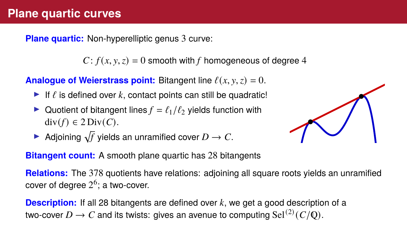**Plane quartic:** Non-hyperelliptic genus 3 curve:

 $C: f(x, y, z) = 0$  smooth with *f* homogeneous of degree 4

**Analogue of Weierstrass point:** Bitangent line  $\ell(x, y, z) = 0$ .

- If  $\ell$  is defined over  $k$ , contact points can still be quadratic!
- Quotient of bitangent lines  $f = \ell_1/\ell_2$  yields function with div(*f*) ∈ 2 Div(*C*).
- **•** Adjoining  $\sqrt{f}$  yields an unramified cover  $D \to C$ .

**Bitangent count:** A smooth plane quartic has 28 bitangents

**Relations:** The 378 quotients have relations: adjoining all square roots yields an unramified cover of degree  $2^6$ ; a two-cover.

**Description:** If all 28 bitangents are defined over *k*, we get a good description of a two-cover  $D\to C$  and its twists: gives an avenue to computing  $\operatorname{Sel}^{(2)}(C/{\mathbb Q}).$ 

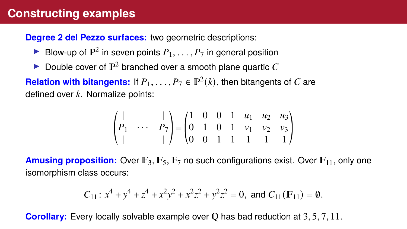# **Constructing examples**

**Degree 2 del Pezzo surfaces:** two geometric descriptions:

- **Blow-up of**  $\mathbb{P}^2$  **in seven points**  $P_1, \ldots, P_7$  **in general position**
- **Double cover of**  $\mathbb{P}^2$  **branched over a smooth plane quartic**  $C$

**Relation with bitangents:** If  $P_1, \ldots, P_7 \in \mathbb{P}^2(k)$ , then bitangents of *C* are defined over *k*. Normalize points:

$$
\begin{pmatrix}\n| & & | \\
P_1 & \cdots & P_7 \\
| & & | \n\end{pmatrix} =\n\begin{pmatrix}\n1 & 0 & 0 & 1 & u_1 & u_2 & u_3 \\
0 & 1 & 0 & 1 & v_1 & v_2 & v_3 \\
0 & 0 & 1 & 1 & 1 & 1 & 1\n\end{pmatrix}
$$

**Amusing proposition:** Over  $\mathbb{F}_3$ ,  $\mathbb{F}_5$ ,  $\mathbb{F}_7$  no such configurations exist. Over  $\mathbb{F}_{11}$ , only one isomorphism class occurs:

$$
C_{11}: x^4 + y^4 + z^4 + x^2y^2 + x^2z^2 + y^2z^2 = 0
$$
, and  $C_{11}(\mathbb{F}_{11}) = \emptyset$ .

**Corollary:** Every locally solvable example over **Q** has bad reduction at 3, 5, 7, 11.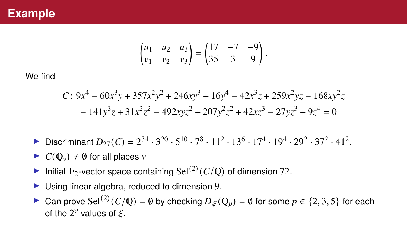$$
\begin{pmatrix} u_1 & u_2 & u_3 \ v_1 & v_2 & v_3 \end{pmatrix} = \begin{pmatrix} 17 & -7 & -9 \ 35 & 3 & 9 \end{pmatrix}.
$$

We find

$$
C: 9x4 - 60x3y + 357x2y2 + 246xy3 + 16y4 - 42x3z + 259x2yz - 168xy2z - 141y3z + 31x2z2 - 492xyz2 + 207y2z2 + 42xz3 - 27yz3 + 9z4 = 0
$$

- **Discriminant**  $D_{27}(C) = 2^{34} \cdot 3^{20} \cdot 5^{10} \cdot 7^8 \cdot 11^2 \cdot 13^6 \cdot 17^4 \cdot 19^4 \cdot 29^2 \cdot 37^2 \cdot 41^2$ .
- $\triangleright$  *C*( $\mathbb{Q}_v$ )  $\neq \emptyset$  for all places *v*
- Initial  $\mathbb{F}_2$ -vector space containing Sel<sup>(2)</sup>( $C/Q$ ) of dimension 72.
- $\blacktriangleright$  Using linear algebra, reduced to dimension 9.
- ► Can prove Sel<sup>(2)</sup> (*C*/ℚ) = ∅ by checking  $D_{\xi}$  (ℚ<sub>*p*</sub>) = ∅ for some  $p \in \{2, 3, 5\}$  for each of the  $2^9$  values of  $\xi$ .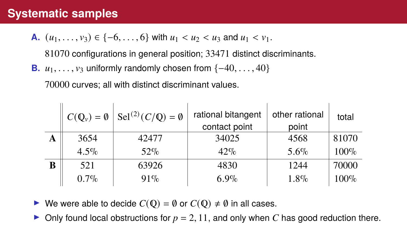## **Systematic samples**

**A.**  $(u_1, \ldots, v_3) \in \{-6, \ldots, 6\}$  with  $u_1 < u_2 < u_3$  and  $u_1 < v_1$ .

81070 configurations in general position; 33471 distinct discriminants.

**B.** *u*<sub>1</sub>, . . . , *v*<sub>3</sub> uniformly randomly chosen from {−40, . . . , 40}

70000 curves; all with distinct discriminant values.

|   |                        | $C(\mathbb{Q}_{\nu}) = \emptyset$ Sel <sup>(2)</sup> ( $C/\mathbb{Q}$ ) = $\emptyset$ | rational bitangent<br>contact point | other rational<br>point | total   |
|---|------------------------|---------------------------------------------------------------------------------------|-------------------------------------|-------------------------|---------|
| A | 3654<br>34025<br>42477 |                                                                                       | 4568                                | 81070                   |         |
|   | $4.5\%$                | $52\%$                                                                                | 42%                                 | $5.6\%$                 | $100\%$ |
| B | 521<br>63926           |                                                                                       | 4830                                | 1244                    | 70000   |
|   | $0.7\%$                | $91\%$                                                                                | 6.9%                                | $1.8\%$                 | $100\%$ |

 $\triangleright$  We were able to decide *C*(**ℚ**) =  $\emptyset$  or *C*(**ℚ**)  $\neq$   $\emptyset$  in all cases.

In Only found local obstructions for  $p = 2$ , 11, and only when C has good reduction there.